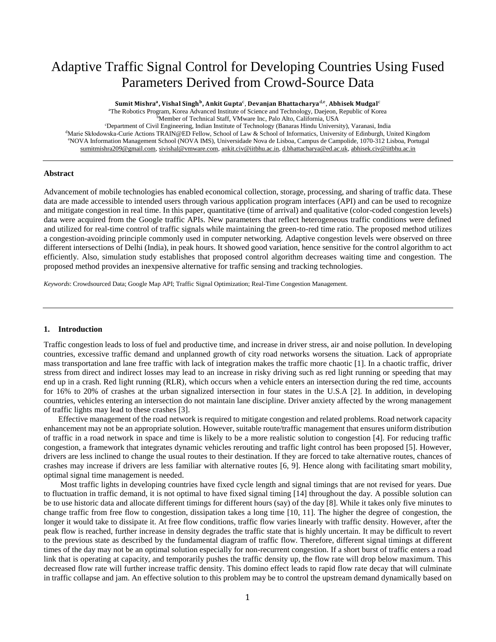# Adaptive Traffic Signal Control for Developing Countries Using Fused Parameters Derived from Crowd-Source Data

Sumit Mishra<sup>a</sup>, Vishal Singh<sup>b</sup>, Ankit Gupta<sup>c</sup>, Devanjan Bhattacharya<sup>d,e</sup>, Abhisek Mudgal<sup>c</sup>

<sup>a</sup>The Robotics Program, Korea Advanced Institute of Science and Technology, Daejeon, Republic of Korea

bMember of Technical Staff, VMware Inc, Palo Alto, California, USA

<sup>c</sup>Department of Civil Engineering, Indian Institute of Technology (Banaras Hindu University), Varanasi, India <sup>d</sup>Marie Skłodowska-Curie Actions TRAIN@ED Fellow, School of Law & School of Informatics, University of Edinburgh, United Kingdom <sup>e</sup>NOVA Information Management School (NOVA IMS), Universidade Nova de Lisboa, Campus de Campolide, 1070-312 Lisboa, Portugal [sumitmishra209@gmail.com,](mailto:sumitmishra209@gmail.com) [sivishal@vmware.com,](mailto:sivishal@vmware.com) [ankit.civ@iitbhu.ac.in,](mailto:Ankit.civ@iitbhu.ac.in) [d.bhattacharya@ed.ac.uk,](mailto:d.bhattacharya@ed.ac.uk) [abhisek.civ@iitbhu.ac.in](mailto:abhisek.civ@iitbhu.ac.in)

## **Abstract**

Advancement of mobile technologies has enabled economical collection, storage, processing, and sharing of traffic data. These data are made accessible to intended users through various application program interfaces (API) and can be used to recognize and mitigate congestion in real time. In this paper, quantitative (time of arrival) and qualitative (color-coded congestion levels) data were acquired from the Google traffic APIs. New parameters that reflect heterogeneous traffic conditions were defined and utilized for real-time control of traffic signals while maintaining the green-to-red time ratio. The proposed method utilizes a congestion-avoiding principle commonly used in computer networking. Adaptive congestion levels were observed on three different intersections of Delhi (India), in peak hours. It showed good variation, hence sensitive for the control algorithm to act efficiently. Also, simulation study establishes that proposed control algorithm decreases waiting time and congestion. The proposed method provides an inexpensive alternative for traffic sensing and tracking technologies.

*Keywords*: Crowdsourced Data; Google Map API; Traffic Signal Optimization; Real-Time Congestion Management.

#### **1. Introduction**

Traffic congestion leads to loss of fuel and productive time, and increase in driver stress, air and noise pollution. In developing countries, excessive traffic demand and unplanned growth of city road networks worsens the situation. Lack of appropriate mass transportation and lane free traffic with lack of integration makes the traffic more chaotic [1]. In a chaotic traffic, driver stress from direct and indirect losses may lead to an increase in risky driving such as red light running or speeding that may end up in a crash. Red light running (RLR), which occurs when a vehicle enters an intersection during the red time, accounts for 16% to 20% of crashes at the urban signalized intersection in four states in the U.S.A [2]. In addition, in developing countries, vehicles entering an intersection do not maintain lane discipline. Driver anxiety affected by the wrong management of traffic lights may lead to these crashes [3].

Effective management of the road network is required to mitigate congestion and related problems. Road network capacity enhancement may not be an appropriate solution. However, suitable route/traffic management that ensures uniform distribution of traffic in a road network in space and time is likely to be a more realistic solution to congestion [4]. For reducing traffic congestion, a framework that integrates dynamic vehicles rerouting and traffic light control has been proposed [5]. However, drivers are less inclined to change the usual routes to their destination. If they are forced to take alternative routes, chances of crashes may increase if drivers are less familiar with alternative routes [6, 9]. Hence along with facilitating smart mobility, optimal signal time management is needed.

Most traffic lights in developing countries have fixed cycle length and signal timings that are not revised for years. Due to fluctuation in traffic demand, it is not optimal to have fixed signal timing [14] throughout the day. A possible solution can be to use historic data and allocate different timings for different hours (say) of the day [8]. While it takes only five minutes to change traffic from free flow to congestion, dissipation takes a long time [10, 11]. The higher the degree of congestion, the longer it would take to dissipate it. At free flow conditions, traffic flow varies linearly with traffic density. However, after the peak flow is reached, further increase in density degrades the traffic state that is highly uncertain. It may be difficult to revert to the previous state as described by the fundamental diagram of traffic flow. Therefore, different signal timings at different times of the day may not be an optimal solution especially for non-recurrent congestion. If a short burst of traffic enters a road link that is operating at capacity, and temporarily pushes the traffic density up, the flow rate will drop below maximum. This decreased flow rate will further increase traffic density. This domino effect leads to rapid flow rate decay that will culminate in traffic collapse and jam. An effective solution to this problem may be to control the upstream demand dynamically based on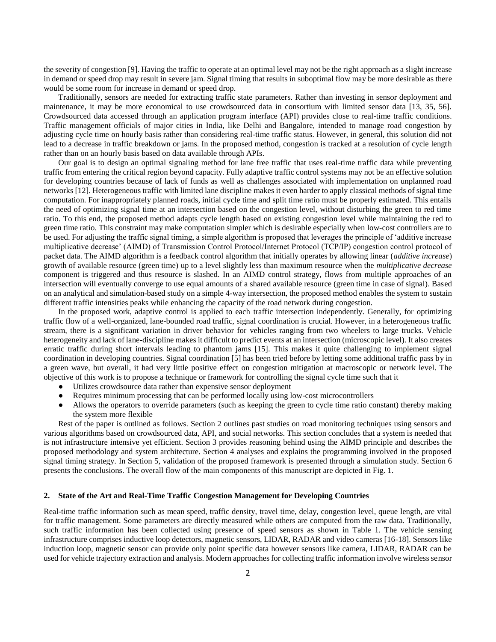the severity of congestion [9]. Having the traffic to operate at an optimal level may not be the right approach as a slight increase in demand or speed drop may result in severe jam. Signal timing that results in suboptimal flow may be more desirable as there would be some room for increase in demand or speed drop.

Traditionally, sensors are needed for extracting traffic state parameters. Rather than investing in sensor deployment and maintenance, it may be more economical to use crowdsourced data in consortium with limited sensor data [13, 35, 56]. Crowdsourced data accessed through an application program interface (API) provides close to real-time traffic conditions. Traffic management officials of major cities in India, like Delhi and Bangalore, intended to manage road congestion by adjusting cycle time on hourly basis rather than considering real-time traffic status. However, in general, this solution did not lead to a decrease in traffic breakdown or jams. In the proposed method, congestion is tracked at a resolution of cycle length rather than on an hourly basis based on data available through APIs.

Our goal is to design an optimal signaling method for lane free traffic that uses real-time traffic data while preventing traffic from entering the critical region beyond capacity. Fully adaptive traffic control systems may not be an effective solution for developing countries because of lack of funds as well as challenges associated with implementation on unplanned road networks [12]. Heterogeneous traffic with limited lane discipline makes it even harder to apply classical methods of signal time computation. For inappropriately planned roads, initial cycle time and split time ratio must be properly estimated. This entails the need of optimizing signal time at an intersection based on the congestion level, without disturbing the green to red time ratio. To this end, the proposed method adapts cycle length based on existing congestion level while maintaining the red to green time ratio. This constraint may make computation simpler which is desirable especially when low-cost controllers are to be used. For adjusting the traffic signal timing, a simple algorithm is proposed that leverages the principle of 'additive increase multiplicative decrease' (AIMD) of Transmission Control Protocol/Internet Protocol (TCP/IP) congestion control protocol of packet data. The AIMD algorithm is a feedback control algorithm that initially operates by allowing linear (*additive increase*) growth of available resource (green time) up to a level slightly less than maximum resource when the *multiplicative decrease* component is triggered and thus resource is slashed. In an AIMD control strategy, flows from multiple approaches of an intersection will eventually converge to use equal amounts of a shared available resource (green time in case of signal). Based on an analytical and simulation-based study on a simple 4-way intersection, the proposed method enables the system to sustain different traffic intensities peaks while enhancing the capacity of the road network during congestion.

In the proposed work, adaptive control is applied to each traffic intersection independently. Generally, for optimizing traffic flow of a well-organized, lane-bounded road traffic, signal coordination is crucial. However, in a heterogeneous traffic stream, there is a significant variation in driver behavior for vehicles ranging from two wheelers to large trucks. Vehicle heterogeneity and lack of lane-discipline makes it difficult to predict events at an intersection (microscopic level). It also creates erratic traffic during short intervals leading to phantom jams [15]. This makes it quite challenging to implement signal coordination in developing countries. Signal coordination [5] has been tried before by letting some additional traffic pass by in a green wave, but overall, it had very little positive effect on congestion mitigation at macroscopic or network level. The objective of this work is to propose a technique or framework for controlling the signal cycle time such that it

- Utilizes crowdsource data rather than expensive sensor deployment
- Requires minimum processing that can be performed locally using low-cost microcontrollers
- Allows the operators to override parameters (such as keeping the green to cycle time ratio constant) thereby making the system more flexible

Rest of the paper is outlined as follows. Section 2 outlines past studies on road monitoring techniques using sensors and various algorithms based on crowdsourced data, API, and social networks. This section concludes that a system is needed that is not infrastructure intensive yet efficient. Section 3 provides reasoning behind using the AIMD principle and describes the proposed methodology and system architecture. Section 4 analyses and explains the programming involved in the proposed signal timing strategy. In Section 5, validation of the proposed framework is presented through a simulation study. Section 6 presents the conclusions. The overall flow of the main components of this manuscript are depicted in Fig. 1.

#### **2. State of the Art and Real-Time Traffic Congestion Management for Developing Countries**

Real-time traffic information such as mean speed, traffic density, travel time, delay, congestion level, queue length, are vital for traffic management. Some parameters are directly measured while others are computed from the raw data. Traditionally, such traffic information has been collected using presence of speed sensors as shown in Table 1. The vehicle sensing infrastructure comprises inductive loop detectors, magnetic sensors, LIDAR, RADAR and video cameras [16-18]. Sensors like induction loop, magnetic sensor can provide only point specific data however sensors like camera, LIDAR, RADAR can be used for vehicle trajectory extraction and analysis. Modern approaches for collecting traffic information involve wireless sensor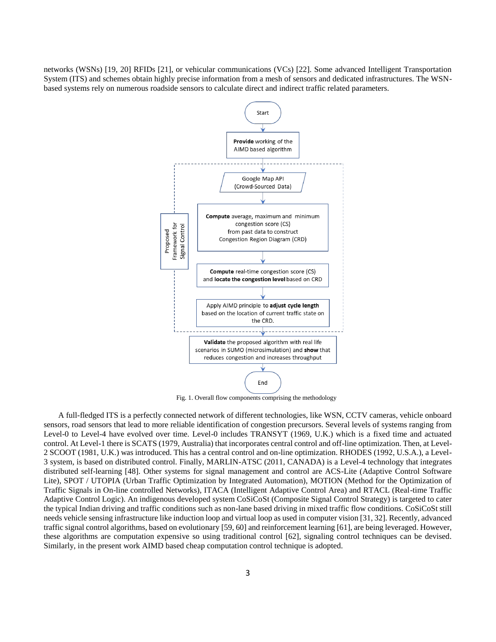networks (WSNs) [19, 20] RFIDs [21], or vehicular communications (VCs) [22]. Some advanced Intelligent Transportation System (ITS) and schemes obtain highly precise information from a mesh of sensors and dedicated infrastructures. The WSNbased systems rely on numerous roadside sensors to calculate direct and indirect traffic related parameters.



Fig. 1. Overall flow components comprising the methodology

A full-fledged ITS is a perfectly connected network of different technologies, like WSN, CCTV cameras, vehicle onboard sensors, road sensors that lead to more reliable identification of congestion precursors. Several levels of systems ranging from Level-0 to Level-4 have evolved over time. Level-0 includes TRANSYT (1969, U.K.) which is a fixed time and actuated control. At Level-1 there is SCATS (1979, Australia) that incorporates central control and off-line optimization. Then, at Level-2 SCOOT (1981, U.K.) was introduced. This has a central control and on-line optimization. RHODES (1992, U.S.A.), a Level-3 system, is based on distributed control. Finally, MARLIN-ATSC (2011, CANADA) is a Level-4 technology that integrates distributed self-learning [48]. Other systems for signal management and control are ACS-Lite (Adaptive Control Software Lite), SPOT / UTOPIA (Urban Traffic Optimization by Integrated Automation), MOTION (Method for the Optimization of Traffic Signals in On-line controlled Networks), ITACA (Intelligent Adaptive Control Area) and RTACL (Real-time Traffic Adaptive Control Logic). An indigenous developed system CoSiCoSt (Composite Signal Control Strategy) is targeted to cater the typical Indian driving and traffic conditions such as non-lane based driving in mixed traffic flow conditions. CoSiCoSt still needs vehicle sensing infrastructure like induction loop and virtual loop as used in computer vision [31, 32]. Recently, advanced traffic signal control algorithms, based on evolutionary [59, 60] and reinforcement learning [61], are being leveraged. However, these algorithms are computation expensive so using traditional control [62], signaling control techniques can be devised. Similarly, in the present work AIMD based cheap computation control technique is adopted.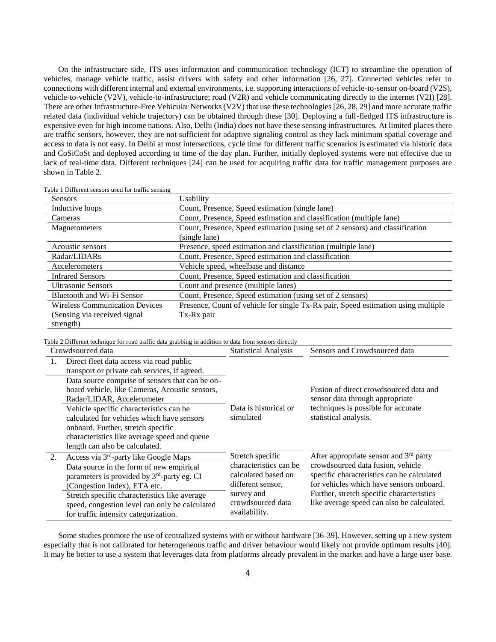On the infrastructure side, ITS uses information and communication technology (ICT) to streamline the operation of vehicles, manage vehicle traffic, assist drivers with safety and other information [26, 27]. Connected vehicles refer to connections with different internal and external environments, i.e. supporting interactions of vehicle-to-sensor on-board (V2S), vehicle-to-vehicle (V2V), vehicle-to-infrastructure; road (V2R) and vehicle communicating directly to the internet (V2I) [28]. There are other Infrastructure-Free Vehicular Networks (V2V) that use these technologies [26, 28, 29] and more accurate traffic related data (individual vehicle trajectory) can be obtained through these [30]. Deploying a full-fledged ITS infrastructure is expensive even for high income nations. Also, Delhi (India) does not have these sensing infrastructures. At limited places there are traffic sensors, however, they are not sufficient for adaptive signaling control as they lack minimum spatial coverage and access to data is not easy. In Delhi at most intersections, cycle time for different traffic scenarios is estimated via historic data and CoSiCoSt and deployed according to time of the day plan. Further, initially deployed systems were not effective due to lack of real-time data. Different techniques [24] can be used for acquiring traffic data for traffic management purposes are shown in Table 2.

Table 1 Different sensors used for traffic sensing

| Sensors                               | Usability                                                                         |
|---------------------------------------|-----------------------------------------------------------------------------------|
| Inductive loops                       | Count, Presence, Speed estimation (single lane)                                   |
| Cameras                               | Count, Presence, Speed estimation and classification (multiple lane)              |
| Magnetometers                         | Count, Presence, Speed estimation (using set of 2 sensors) and classification     |
|                                       | (single lane)                                                                     |
| Acoustic sensors                      | Presence, speed estimation and classification (multiple lane)                     |
| Radar/LIDARs                          | Count, Presence, Speed estimation and classification                              |
| Accelerometers                        | Vehicle speed, wheelbase and distance                                             |
| <b>Infrared Sensors</b>               | Count, Presence, Speed estimation and classification                              |
| <b>Ultrasonic Sensors</b>             | Count and presence (multiple lanes)                                               |
| Bluetooth and Wi-Fi Sensor            | Count, Presence, Speed estimation (using set of 2 sensors)                        |
| <b>Wireless Communication Devices</b> | Presence, Count of vehicle for single Tx-Rx pair, Speed estimation using multiple |
| (Sensing via received signal)         | Tx-Rx pair                                                                        |
| strength)                             |                                                                                   |

Table 2 Different technique for road traffic data grabbing in addition to data from sensors directly

| Crowdsourced data |                                                                                                                                                                                                                                                                                 | <b>Statistical Analysis</b>                                                                                            | Sensors and Crowdsourced data                                                                                                                                                                                          |
|-------------------|---------------------------------------------------------------------------------------------------------------------------------------------------------------------------------------------------------------------------------------------------------------------------------|------------------------------------------------------------------------------------------------------------------------|------------------------------------------------------------------------------------------------------------------------------------------------------------------------------------------------------------------------|
| 1.                | Direct fleet data access via road public<br>transport or private cab services, if agreed.                                                                                                                                                                                       |                                                                                                                        |                                                                                                                                                                                                                        |
|                   | Data source comprise of sensors that can be on-<br>board vehicle, like Cameras, Acoustic sensors,<br>Radar/LIDAR, Accelerometer<br>Vehicle specific characteristics can be                                                                                                      | Data is historical or                                                                                                  | Fusion of direct crowdsourced data and<br>sensor data through appropriate<br>techniques is possible for accurate                                                                                                       |
|                   | calculated for vehicles which have sensors<br>onboard. Further, stretch specific<br>characteristics like average speed and queue<br>length can also be calculated.                                                                                                              | simulated                                                                                                              | statistical analysis.                                                                                                                                                                                                  |
| 2.                | Access via 3 <sup>rd</sup> -party like Google Maps                                                                                                                                                                                                                              | Stretch specific                                                                                                       | After appropriate sensor and $3rd$ party                                                                                                                                                                               |
|                   | Data source in the form of new empirical<br>parameters is provided by 3 <sup>rd</sup> -party eg. CI<br>(Congestion Index), ETA etc.<br>Stretch specific characteristics like average<br>speed, congestion level can only be calculated<br>for traffic intensity categorization. | characteristics can be<br>calculated based on<br>different sensor,<br>survey and<br>crowdsourced data<br>availability. | crowdsourced data fusion, vehicle<br>specific characteristics can be calculated<br>for vehicles which have sensors onboard.<br>Further, stretch specific characteristics<br>like average speed can also be calculated. |

Some studies promote the use of centralized systems with or without hardware [36-39]. However, setting up a new system especially that is not calibrated for heterogeneous traffic and driver behaviour would likely not provide optimum results [40]. It may be better to use a system that leverages data from platforms already prevalent in the market and have a large user base.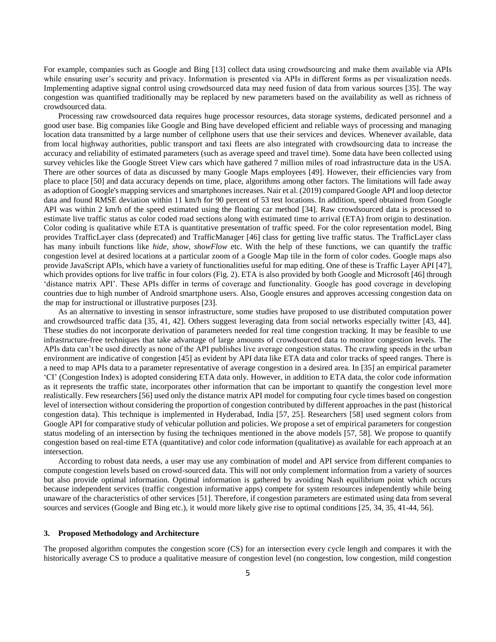For example, companies such as Google and Bing [13] collect data using crowdsourcing and make them available via APIs while ensuring user's security and privacy. Information is presented via APIs in different forms as per visualization needs. Implementing adaptive signal control using crowdsourced data may need fusion of data from various sources [35]. The way congestion was quantified traditionally may be replaced by new parameters based on the availability as well as richness of crowdsourced data.

Processing raw crowdsourced data requires huge processor resources, data storage systems, dedicated personnel and a good user base. Big companies like Google and Bing have developed efficient and reliable ways of processing and managing location data transmitted by a large number of cellphone users that use their services and devices. Whenever available, data from local highway authorities, public transport and taxi fleets are also integrated with crowdsourcing data to increase the accuracy and reliability of estimated parameters (such as average speed and travel time). Some data have been collected using survey vehicles like the Google Street View cars which have gathered 7 million miles of road infrastructure data in the USA. There are other sources of data as discussed by many Google Maps employees [49]. However, their efficiencies vary from place to place [50] and data accuracy depends on time, place, algorithms among other factors. The limitations will fade away as adoption of Google's mapping services and smartphones increases. Nair et al. (2019) compared Google API and loop detector data and found RMSE deviation within 11 km/h for 90 percent of 53 test locations. In addition, speed obtained from Google API was within 2 km/h of the speed estimated using the floating car method [34]. Raw crowdsourced data is processed to estimate live traffic status as color coded road sections along with estimated time to arrival (ETA) from origin to destination. Color coding is qualitative while ETA is quantitative presentation of traffic speed. For the color representation model, Bing provides TrafficLayer class (deprecated) and TrafficManager [46] class for getting live traffic status. The TrafficLayer class has many inbuilt functions like *hide*, *show*, *showFlow* etc. With the help of these functions, we can quantify the traffic congestion level at desired locations at a particular zoom of a Google Map tile in the form of color codes. Google maps also provide JavaScript APIs, which have a variety of functionalities useful for map editing. One of these is Traffic Layer API [47], which provides options for live traffic in four colors (Fig. 2). ETA is also provided by both Google and Microsoft [46] through 'distance matrix API'. These APIs differ in terms of coverage and functionality. Google has good coverage in developing countries due to high number of Android smartphone users. Also, Google ensures and approves accessing congestion data on the map for instructional or illustrative purposes [23].

As an alternative to investing in sensor infrastructure, some studies have proposed to use distributed computation power and crowdsourced traffic data [35, 41, 42]. Others suggest leveraging data from social networks especially twitter [43, 44]. These studies do not incorporate derivation of parameters needed for real time congestion tracking. It may be feasible to use infrastructure-free techniques that take advantage of large amounts of crowdsourced data to monitor congestion levels. The APIs data can't be used directly as none of the API publishes live average congestion status. The crawling speeds in the urban environment are indicative of congestion [45] as evident by API data like ETA data and color tracks of speed ranges. There is a need to map APIs data to a parameter representative of average congestion in a desired area. In [35] an empirical parameter 'CI' (Congestion Index) is adopted considering ETA data only. However, in addition to ETA data, the color code information as it represents the traffic state, incorporates other information that can be important to quantify the congestion level more realistically. Few researchers [56] used only the distance matrix API model for computing four cycle times based on congestion level of intersection without considering the proportion of congestion contributed by different approaches in the past (historical congestion data). This technique is implemented in Hyderabad, India [57, 25]. Researchers [58] used segment colors from Google API for comparative study of vehicular pollution and policies. We propose a set of empirical parameters for congestion status modeling of an intersection by fusing the techniques mentioned in the above models [57, 58]. We propose to quantify congestion based on real-time ETA (quantitative) and color code information (qualitative) as available for each approach at an intersection.

According to robust data needs, a user may use any combination of model and API service from different companies to compute congestion levels based on crowd-sourced data. This will not only complement information from a variety of sources but also provide optimal information. Optimal information is gathered by avoiding Nash equilibrium point which occurs because independent services (traffic congestion informative apps) compete for system resources independently while being unaware of the characteristics of other services [51]. Therefore, if congestion parameters are estimated using data from several sources and services (Google and Bing etc.), it would more likely give rise to optimal conditions [25, 34, 35, 41-44, 56].

#### **3. Proposed Methodology and Architecture**

The proposed algorithm computes the congestion score (CS) for an intersection every cycle length and compares it with the historically average CS to produce a qualitative measure of congestion level (no congestion, low congestion, mild congestion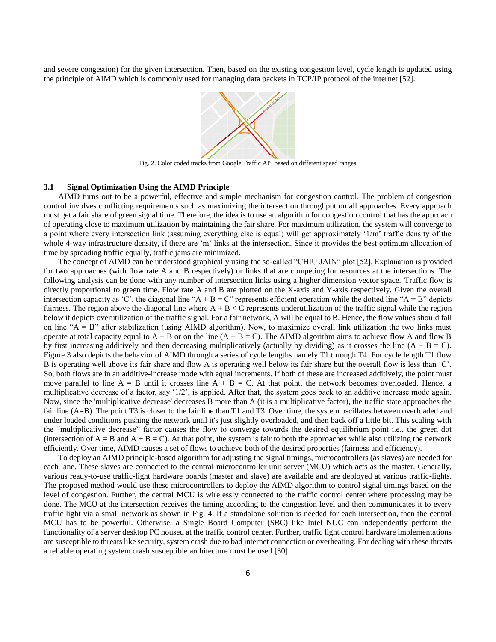and severe congestion) for the given intersection. Then, based on the existing congestion level, cycle length is updated using the principle of AIMD which is commonly used for managing data packets in TCP/IP protocol of the internet [52].



Fig. 2. Color coded tracks from Google Traffic API based on different speed ranges

#### **3.1 Signal Optimization Using the AIMD Principle**

AIMD turns out to be a powerful, effective and simple mechanism for congestion control. The problem of congestion control involves conflicting requirements such as maximizing the intersection throughput on all approaches. Every approach must get a fair share of green signal time. Therefore, the idea is to use an algorithm for congestion control that has the approach of operating close to maximum utilization by maintaining the fair share. For maximum utilization, the system will converge to a point where every intersection link (assuming everything else is equal) will get approximately '1/m' traffic density of the whole 4-way infrastructure density, if there are 'm' links at the intersection. Since it provides the best optimum allocation of time by spreading traffic equally, traffic jams are minimized.

The concept of AIMD can be understood graphically using the so-called "CHIU JAIN" plot [52]. Explanation is provided for two approaches (with flow rate A and B respectively) or links that are competing for resources at the intersections. The following analysis can be done with any number of intersection links using a higher dimension vector space. Traffic flow is directly proportional to green time. Flow rate A and B are plotted on the X-axis and Y-axis respectively. Given the overall intersection capacity as 'C', the diagonal line "A + B = C" represents efficient operation while the dotted line "A = B" depicts fairness. The region above the diagonal line where  $A + B < C$  represents underutilization of the traffic signal while the region below it depicts overutilization of the traffic signal. For a fair network, A will be equal to B. Hence, the flow values should fall on line "A = B" after stabilization (using AIMD algorithm). Now, to maximize overall link utilization the two links must operate at total capacity equal to  $A + B$  or on the line  $(A + B = C)$ . The AIMD algorithm aims to achieve flow A and flow B by first increasing additively and then decreasing multiplicatively (actually by dividing) as it crosses the line  $(A + B = C)$ . Figure 3 also depicts the behavior of AIMD through a series of cycle lengths namely T1 through T4. For cycle length T1 flow B is operating well above its fair share and flow A is operating well below its fair share but the overall flow is less than 'C'. So, both flows are in an additive-increase mode with equal increments. If both of these are increased additively, the point must move parallel to line  $A = B$  until it crosses line  $A + B = C$ . At that point, the network becomes overloaded. Hence, a multiplicative decrease of a factor, say '1/2', is applied. After that, the system goes back to an additive increase mode again. Now, since the 'multiplicative decrease' decreases B more than A (it is a multiplicative factor), the traffic state approaches the fair line (A=B). The point T3 is closer to the fair line than T1 and T3. Over time, the system oscillates between overloaded and under loaded conditions pushing the network until it's just slightly overloaded, and then back off a little bit. This scaling with the "multiplicative decrease" factor causes the flow to converge towards the desired equilibrium point i.e., the green dot (intersection of  $A = B$  and  $A + B = C$ ). At that point, the system is fair to both the approaches while also utilizing the network efficiently. Over time, AIMD causes a set of flows to achieve both of the desired properties (fairness and efficiency).

To deploy an AIMD principle-based algorithm for adjusting the signal timings, microcontrollers (as slaves) are needed for each lane. These slaves are connected to the central microcontroller unit server (MCU) which acts as the master. Generally, various ready-to-use traffic-light hardware boards (master and slave) are available and are deployed at various traffic-lights. The proposed method would use these microcontrollers to deploy the AIMD algorithm to control signal timings based on the level of congestion. Further, the central MCU is wirelessly connected to the traffic control center where processing may be done. The MCU at the intersection receives the timing according to the congestion level and then communicates it to every traffic light via a small network as shown in Fig. 4. If a standalone solution is needed for each intersection, then the central MCU has to be powerful. Otherwise, a Single Board Computer (SBC) like Intel NUC can independently perform the functionality of a server desktop PC housed at the traffic control center. Further, traffic light control hardware implementations are susceptible to threats like security, system crash due to bad internet connection or overheating. For dealing with these threats a reliable operating system crash susceptible architecture must be used [30].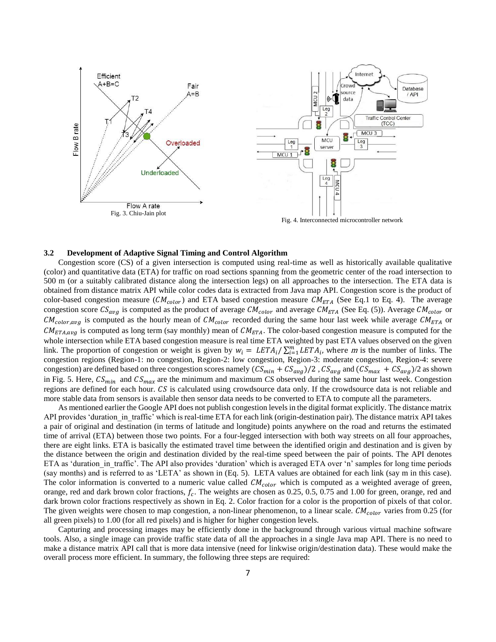

Fig. 4. Interconnected microcontroller network

## **3.2 Development of Adaptive Signal Timing and Control Algorithm**

Congestion score (CS) of a given intersection is computed using real-time as well as historically available qualitative (color) and quantitative data (ETA) for traffic on road sections spanning from the geometric center of the road intersection to 500 m (or a suitably calibrated distance along the intersection legs) on all approaches to the intersection. The ETA data is obtained from distance matrix API while color codes data is extracted from Java map API. Congestion score is the product of color-based congestion measure  $(CM_{color})$  and ETA based congestion measure  $CM_{ETA}$  (See Eq.1 to Eq. 4). The average congestion score  $CS_{avg}$  is computed as the product of average  $CM_{color}$  and average  $CM_{ETA}$  (See Eq. (5)). Average  $CM_{color}$  or  $CM_{color,avg}$  is computed as the hourly mean of  $CM_{color}$  recorded during the same hour last week while average  $CM_{ETA}$  or  $CM_{ETA,avg}$  is computed as long term (say monthly) mean of  $CM_{ETA}$ . The color-based congestion measure is computed for the whole intersection while ETA based congestion measure is real time ETA weighted by past ETA values observed on the given link. The proportion of congestion or weight is given by  $w_i = LETA_i / \sum_{i=1}^{m} LETA_i$ , where m is the number of links. The congestion regions (Region-1: no congestion, Region-2: low congestion, Region-3: moderate congestion, Region-4: severe congestion) are defined based on three congestion scores namely  $(CS_{min} + CS_{avg})/2$ ,  $CS_{avg}$  and  $(CS_{max} + CS_{avg})/2$  as shown in Fig. 5. Here,  $CS_{min}$  and  $CS_{max}$  are the minimum and maximum *CS* observed during the same hour last week. Congestion regions are defined for each hour.  $\mathcal{CS}$  is calculated using crowdsource data only. If the crowdsource data is not reliable and more stable data from sensors is available then sensor data needs to be converted to ETA to compute all the parameters.

As mentioned earlier the Google API does not publish congestion levels in the digital format explicitly. The distance matrix API provides 'duration in traffic' which is real-time ETA for each link (origin-destination pair). The distance matrix API takes a pair of original and destination (in terms of latitude and longitude) points anywhere on the road and returns the estimated time of arrival (ETA) between those two points. For a four-legged intersection with both way streets on all four approaches, there are eight links. ETA is basically the estimated travel time between the identified origin and destination and is given by the distance between the origin and destination divided by the real-time speed between the pair of points. The API denotes ETA as 'duration in traffic'. The API also provides 'duration' which is averaged ETA over 'n' samples for long time periods (say months) and is referred to as 'LETA' as shown in (Eq. 5). LETA values are obtained for each link (say m in this case). The color information is converted to a numeric value called  $CM_{color}$  which is computed as a weighted average of green, orange, red and dark brown color fractions,  $f_c$ . The weights are chosen as 0.25, 0.5, 0.75 and 1.00 for green, orange, red and dark brown color fractions respectively as shown in Eq. 2. Color fraction for a color is the proportion of pixels of that color. The given weights were chosen to map congestion, a non-linear phenomenon, to a linear scale.  $CM_{color}$  varies from 0.25 (for all green pixels) to 1.00 (for all red pixels) and is higher for higher congestion levels.

Capturing and processing images may be efficiently done in the background through various virtual machine software tools. Also, a single image can provide traffic state data of all the approaches in a single Java map API. There is no need to make a distance matrix API call that is more data intensive (need for linkwise origin/destination data). These would make the overall process more efficient. In summary, the following three steps are required: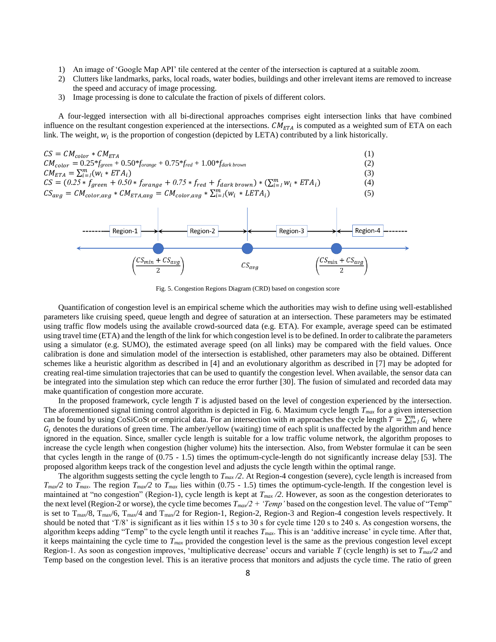- 1) An image of 'Google Map API' tile centered at the center of the intersection is captured at a suitable zoom.
- 2) Clutters like landmarks, parks, local roads, water bodies, buildings and other irrelevant items are removed to increase the speed and accuracy of image processing.
- 3) Image processing is done to calculate the fraction of pixels of different colors.

A four-legged intersection with all bi-directional approaches comprises eight intersection links that have combined influence on the resultant congestion experienced at the intersections.  $CM_{ETA}$  is computed as a weighted sum of ETA on each link. The weight,  $w_i$  is the proportion of congestion (depicted by LETA) contributed by a link historically.





Fig. 5. Congestion Regions Diagram (CRD) based on congestion score

Quantification of congestion level is an empirical scheme which the authorities may wish to define using well-established parameters like cruising speed, queue length and degree of saturation at an intersection. These parameters may be estimated using traffic flow models using the available crowd-sourced data (e.g. ETA). For example, average speed can be estimated using travel time (ETA) and the length of the link for which congestion level is to be defined. In order to calibrate the parameters using a simulator (e.g. SUMO), the estimated average speed (on all links) may be compared with the field values. Once calibration is done and simulation model of the intersection is established, other parameters may also be obtained. Different schemes like a heuristic algorithm as described in [4] and an evolutionary algorithm as described in [7] may be adopted for creating real-time simulation trajectories that can be used to quantify the congestion level. When available, the sensor data can be integrated into the simulation step which can reduce the error further [30]. The fusion of simulated and recorded data may make quantification of congestion more accurate.

In the proposed framework, cycle length *T* is adjusted based on the level of congestion experienced by the intersection. The aforementioned signal timing control algorithm is depicted in Fig. 6. Maximum cycle length *Tmax* for a given intersection can be found by using CoSiCoSt or empirical data. For an intersection with *m* approaches the cycle length  $T = \sum_{i=1}^{m} G_i$  where  $G_i$  denotes the durations of green time. The amber/yellow (waiting) time of each split is unaffected by the algorithm and hence ignored in the equation. Since, smaller cycle length is suitable for a low traffic volume network, the algorithm proposes to increase the cycle length when congestion (higher volume) hits the intersection. Also, from Webster formulae it can be seen that cycles length in the range of (0.75 - 1.5) times the optimum-cycle-length do not significantly increase delay [53]. The proposed algorithm keeps track of the congestion level and adjusts the cycle length within the optimal range.

The algorithm suggests setting the cycle length to *Tmax /2*. At Region-4 congestion (severe), cycle length is increased from  $T_{max}/2$  to  $T_{max}$ . The region  $T_{max}/2$  to  $T_{max}$  lies within (0.75 - 1.5) times the optimum-cycle-length. If the congestion level is maintained at "no congestion" (Region-1), cycle length is kept at *Tmax /2*. However, as soon as the congestion deteriorates to the next level (Region-2 or worse), the cycle time becomes *Tmax/2 + 'Temp'* based on the congestion level. The value of "Temp" is set to T<sub>max</sub>/8, T<sub>max</sub>/6, T<sub>max</sub>/4 and T<sub>max</sub>/2 for Region-1, Region-2, Region-3 and Region-4 congestion levels respectively. It should be noted that 'T/8' is significant as it lies within 15 s to 30 s for cycle time 120 s to 240 s. As congestion worsens, the algorithm keeps adding "Temp" to the cycle length until it reaches *Tmax*. This is an 'additive increase' in cycle time. After that, it keeps maintaining the cycle time to *Tmax* provided the congestion level is the same as the previous congestion level except Region-1. As soon as congestion improves, 'multiplicative decrease' occurs and variable *T* (cycle length) is set to  $T_{max}/2$  and Temp based on the congestion level. This is an iterative process that monitors and adjusts the cycle time. The ratio of green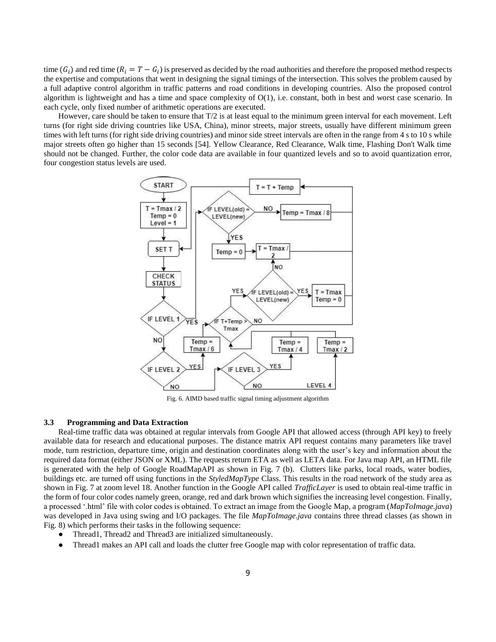time  $(G_i)$  and red time  $(R_i = T - G_i)$  is preserved as decided by the road authorities and therefore the proposed method respects the expertise and computations that went in designing the signal timings of the intersection. This solves the problem caused by a full adaptive control algorithm in traffic patterns and road conditions in developing countries. Also the proposed control algorithm is lightweight and has a time and space complexity of  $O(1)$ , i.e. constant, both in best and worst case scenario. In each cycle, only fixed number of arithmetic operations are executed.

However, care should be taken to ensure that T/2 is at least equal to the minimum green interval for each movement. Left turns (for right side driving countries like USA, China), minor streets, major streets, usually have different minimum green times with left turns (for right side driving countries) and minor side street intervals are often in the range from 4 s to 10 s while major streets often go higher than 15 seconds [54]. Yellow Clearance, Red Clearance, Walk time, Flashing Don't Walk time should not be changed. Further, the color code data are available in four quantized levels and so to avoid quantization error, four congestion status levels are used.



Fig. 6. AIMD based traffic signal timing adjustment algorithm

## **3.3 Programming and Data Extraction**

Real-time traffic data was obtained at regular intervals from Google API that allowed access (through API key) to freely available data for research and educational purposes. The distance matrix API request contains many parameters like travel mode, turn restriction, departure time, origin and destination coordinates along with the user's key and information about the required data format (either JSON or XML). The requests return ETA as well as LETA data. For Java map API, an HTML file is generated with the help of Google RoadMapAPI as shown in Fig. 7 (b). Clutters like parks, local roads, water bodies, buildings etc. are turned off using functions in the *StyledMapType* Class. This results in the road network of the study area as shown in Fig. 7 at zoom level 18. Another function in the Google API called *TrafficLayer* is used to obtain real-time traffic in the form of four color codes namely green, orange, red and dark brown which signifies the increasing level congestion. Finally, a processed '.html' file with color codes is obtained. To extract an image from the Google Map, a program (*MapToImage.java*) was developed in Java using swing and I/O packages. The file *MapToImage.java* contains three thread classes (as shown in Fig. 8) which performs their tasks in the following sequence:

- Thread1, Thread2 and Thread3 are initialized simultaneously.
- Thread1 makes an API call and loads the clutter free Google map with color representation of traffic data.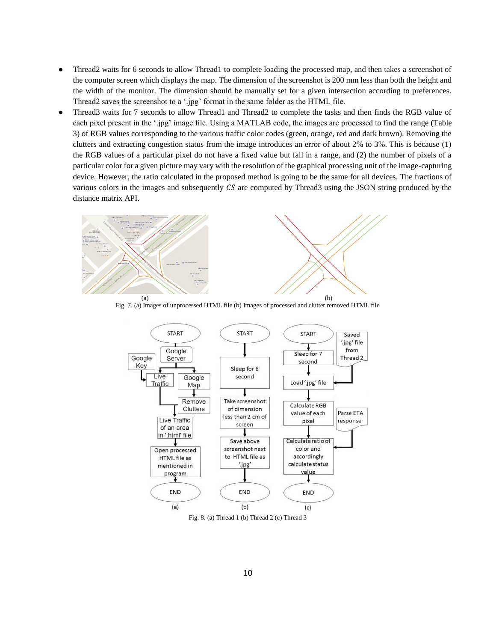- Thread2 waits for 6 seconds to allow Thread1 to complete loading the processed map, and then takes a screenshot of the computer screen which displays the map. The dimension of the screenshot is 200 mm less than both the height and the width of the monitor. The dimension should be manually set for a given intersection according to preferences. Thread2 saves the screenshot to a '.jpg' format in the same folder as the HTML file.
- Thread3 waits for 7 seconds to allow Thread1 and Thread2 to complete the tasks and then finds the RGB value of each pixel present in the '.jpg' image file. Using a MATLAB code, the images are processed to find the range (Table 3) of RGB values corresponding to the various traffic color codes (green, orange, red and dark brown). Removing the clutters and extracting congestion status from the image introduces an error of about 2% to 3%. This is because (1) the RGB values of a particular pixel do not have a fixed value but fall in a range, and (2) the number of pixels of a particular color for a given picture may vary with the resolution of the graphical processing unit of the image-capturing device. However, the ratio calculated in the proposed method is going to be the same for all devices. The fractions of various colors in the images and subsequently  $CS$  are computed by Thread3 using the JSON string produced by the distance matrix API.



Fig. 7. (a) Images of unprocessed HTML file (b) Images of processed and clutter removed HTML file



Fig. 8. (a) Thread 1 (b) Thread 2 (c) Thread 3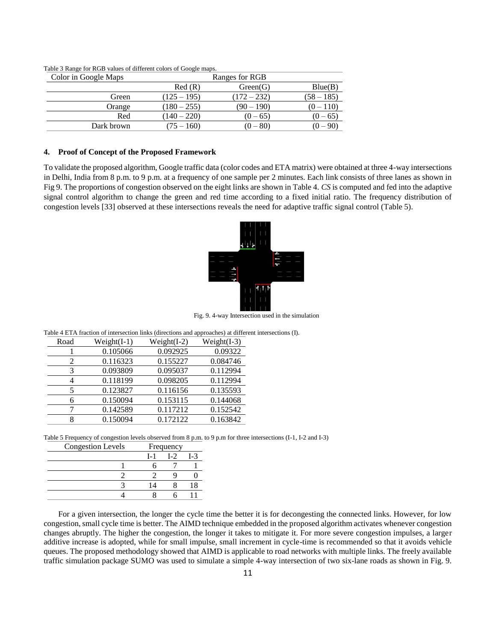| Color in Google Maps |               | Ranges for RGB |              |
|----------------------|---------------|----------------|--------------|
|                      | Red(R)        | Green(G)       | Blue(B)      |
| Green                | $(125 - 195)$ | $(172 - 232)$  | $(58 - 185)$ |
| Orange               | $(180 - 255)$ | $(90 - 190)$   | $(0-110)$    |
| Red                  | $(140 - 220)$ | $(0 - 65)$     | $(0 - 65)$   |
| Dark brown           | $(75 - 160)$  | $(0 - 80)$     |              |

Table 3 Range for RGB values of different colors of Google maps.

#### **4. Proof of Concept of the Proposed Framework**

To validate the proposed algorithm, Google traffic data (color codes and ETA matrix) were obtained at three 4-way intersections in Delhi, India from 8 p.m. to 9 p.m. at a frequency of one sample per 2 minutes. Each link consists of three lanes as shown in Fig 9. The proportions of congestion observed on the eight links are shown in Table 4. *CS* is computed and fed into the adaptive signal control algorithm to change the green and red time according to a fixed initial ratio. The frequency distribution of congestion levels [33] observed at these intersections reveals the need for adaptive traffic signal control (Table 5).



Fig. 9. 4-way Intersection used in the simulation

Table 4 ETA fraction of intersection links (directions and approaches) at different intersections (I).

| Road | $Weight(I-1)$ | Weight $(I-2)$ | Weight $(I-3)$ |
|------|---------------|----------------|----------------|
|      | 0.105066      | 0.092925       | 0.09322        |
| 2    | 0.116323      | 0.155227       | 0.084746       |
| 3    | 0.093809      | 0.095037       | 0.112994       |
| 4    | 0.118199      | 0.098205       | 0.112994       |
| 5    | 0.123827      | 0.116156       | 0.135593       |
| 6    | 0.150094      | 0.153115       | 0.144068       |
|      | 0.142589      | 0.117212       | 0.152542       |
| 8    | 0.150094      | 0.172122       | 0.163842       |

Table 5 Frequency of congestion levels observed from 8 p.m. to 9 p.m for three intersections (I-1, I-2 and I-3)

| <b>Congestion Levels</b> | Frequency |                |                |
|--------------------------|-----------|----------------|----------------|
|                          | $L_{1}$   | L <sub>2</sub> | L <sub>3</sub> |
|                          |           |                |                |
|                          |           |                |                |
|                          |           |                |                |
|                          |           |                |                |
|                          |           |                |                |

For a given intersection, the longer the cycle time the better it is for decongesting the connected links. However, for low congestion, small cycle time is better. The AIMD technique embedded in the proposed algorithm activates whenever congestion changes abruptly. The higher the congestion, the longer it takes to mitigate it. For more severe congestion impulses, a larger additive increase is adopted, while for small impulse, small increment in cycle-time is recommended so that it avoids vehicle queues. The proposed methodology showed that AIMD is applicable to road networks with multiple links. The freely available traffic simulation package SUMO was used to simulate a simple 4-way intersection of two six-lane roads as shown in Fig. 9.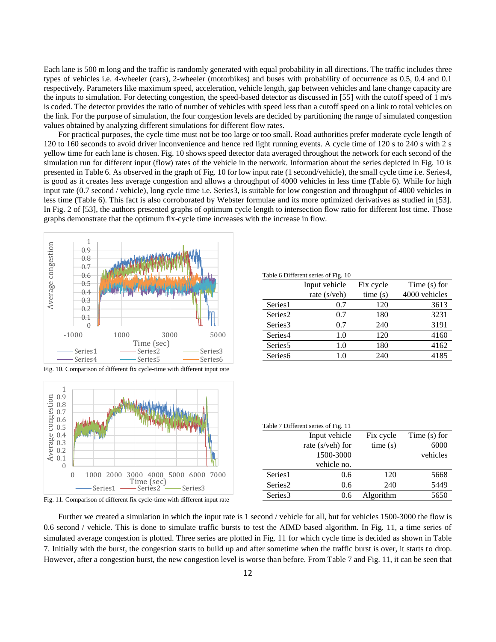Each lane is 500 m long and the traffic is randomly generated with equal probability in all directions. The traffic includes three types of vehicles i.e. 4-wheeler (cars), 2-wheeler (motorbikes) and buses with probability of occurrence as 0.5, 0.4 and 0.1 respectively. Parameters like maximum speed, acceleration, vehicle length, gap between vehicles and lane change capacity are the inputs to simulation. For detecting congestion, the speed-based detector as discussed in [55] with the cutoff speed of 1 m/s is coded. The detector provides the ratio of number of vehicles with speed less than a cutoff speed on a link to total vehicles on the link. For the purpose of simulation, the four congestion levels are decided by partitioning the range of simulated congestion values obtained by analyzing different simulations for different flow rates.

For practical purposes, the cycle time must not be too large or too small. Road authorities prefer moderate cycle length of 120 to 160 seconds to avoid driver inconvenience and hence red light running events. A cycle time of 120 s to 240 s with 2 s yellow time for each lane is chosen. Fig. 10 shows speed detector data averaged throughout the network for each second of the simulation run for different input (flow) rates of the vehicle in the network. Information about the series depicted in Fig. 10 is presented in Table 6. As observed in the graph of Fig. 10 for low input rate (1 second/vehicle), the small cycle time i.e. Series4, is good as it creates less average congestion and allows a throughput of 4000 vehicles in less time (Table 6). While for high input rate (0.7 second / vehicle), long cycle time i.e. Series3, is suitable for low congestion and throughput of 4000 vehicles in less time (Table 6). This fact is also corroborated by Webster formulae and its more optimized derivatives as studied in [53]. In Fig. 2 of [53], the authors presented graphs of optimum cycle length to intersection flow ratio for different lost time. Those graphs demonstrate that the optimum fix-cycle time increases with the increase in flow.



Fig. 10. Comparison of different fix cycle-time with different input rate



Fig. 11. Comparison of different fix cycle-time with different input rate

| Table 6 Different series of Fig. 10 |               |           |                |  |
|-------------------------------------|---------------|-----------|----------------|--|
|                                     | Input vehicle | Fix cycle | Time $(s)$ for |  |
|                                     | rate (s/veh)  | time(s)   | 4000 vehicles  |  |
| Series1                             | 0.7           | 120       | 3613           |  |
| Series <sub>2</sub>                 | 0.7           | 180       | 3231           |  |
| Series3                             | 0.7           | 240       | 3191           |  |
| Series4                             | 1.0           | 120       | 4160           |  |
| Series <sub>5</sub>                 | 1.0           | 180       | 4162           |  |
| Series <sub>6</sub>                 | 1.0           | 240       | 4185           |  |
|                                     |               |           |                |  |

| Table 7 Different series of Fig. 11 |                  |           |                |  |
|-------------------------------------|------------------|-----------|----------------|--|
|                                     | Input vehicle    | Fix cycle | Time $(s)$ for |  |
|                                     | rate (s/veh) for | time(s)   | 6000           |  |
|                                     | 1500-3000        |           | vehicles       |  |
|                                     | vehicle no.      |           |                |  |
| Series1                             | 0.6              | 120       | 5668           |  |
| Series <sub>2</sub>                 | 0.6              | 240       | 5449           |  |
| Series3                             | 0.6              | Algorithm | 5650           |  |
|                                     |                  |           |                |  |

Further we created a simulation in which the input rate is 1 second / vehicle for all, but for vehicles 1500-3000 the flow is 0.6 second / vehicle. This is done to simulate traffic bursts to test the AIMD based algorithm. In Fig. 11, a time series of simulated average congestion is plotted. Three series are plotted in Fig. 11 for which cycle time is decided as shown in Table 7. Initially with the burst, the congestion starts to build up and after sometime when the traffic burst is over, it starts to drop. However, after a congestion burst, the new congestion level is worse than before. From Table 7 and Fig. 11, it can be seen that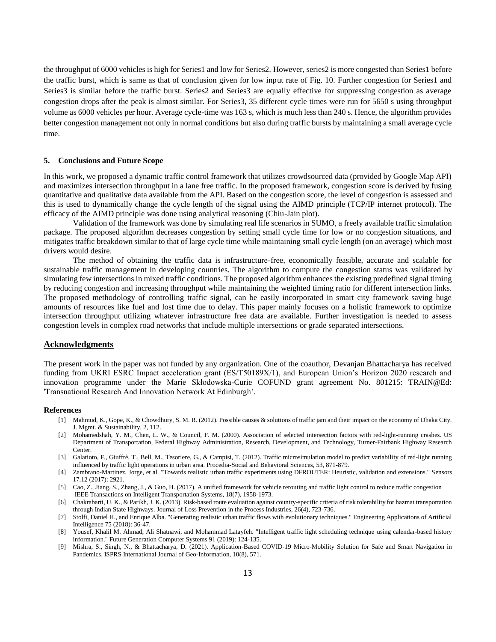the throughput of 6000 vehicles is high for Series1 and low for Series2. However, series2 is more congested than Series1 before the traffic burst, which is same as that of conclusion given for low input rate of Fig. 10. Further congestion for Series1 and Series3 is similar before the traffic burst. Series2 and Series3 are equally effective for suppressing congestion as average congestion drops after the peak is almost similar. For Series3, 35 different cycle times were run for 5650 s using throughput volume as 6000 vehicles per hour. Average cycle-time was 163 s, which is much less than 240 s. Hence, the algorithm provides better congestion management not only in normal conditions but also during traffic bursts by maintaining a small average cycle time.

#### **5. Conclusions and Future Scope**

In this work, we proposed a dynamic traffic control framework that utilizes crowdsourced data (provided by Google Map API) and maximizes intersection throughput in a lane free traffic. In the proposed framework, congestion score is derived by fusing quantitative and qualitative data available from the API. Based on the congestion score, the level of congestion is assessed and this is used to dynamically change the cycle length of the signal using the AIMD principle (TCP/IP internet protocol). The efficacy of the AIMD principle was done using analytical reasoning (Chiu-Jain plot).

Validation of the framework was done by simulating real life scenarios in SUMO, a freely available traffic simulation package. The proposed algorithm decreases congestion by setting small cycle time for low or no congestion situations, and mitigates traffic breakdown similar to that of large cycle time while maintaining small cycle length (on an average) which most drivers would desire.

The method of obtaining the traffic data is infrastructure-free, economically feasible, accurate and scalable for sustainable traffic management in developing countries. The algorithm to compute the congestion status was validated by simulating few intersections in mixed traffic conditions. The proposed algorithm enhances the existing predefined signal timing by reducing congestion and increasing throughput while maintaining the weighted timing ratio for different intersection links. The proposed methodology of controlling traffic signal, can be easily incorporated in smart city framework saving huge amounts of resources like fuel and lost time due to delay. This paper mainly focuses on a holistic framework to optimize intersection throughput utilizing whatever infrastructure free data are available. Further investigation is needed to assess congestion levels in complex road networks that include multiple intersections or grade separated intersections.

## **Acknowledgments**

The present work in the paper was not funded by any organization. One of the coauthor, Devanjan Bhattacharya has received funding from UKRI ESRC Impact acceleration grant (ES/T50189X/1), and European Union's Horizon 2020 research and innovation programme under the Marie Skłodowska-Curie COFUND grant agreement No. 801215: TRAIN@Ed: 'Transnational Research And Innovation Network At Edinburgh'.

#### **References**

- [1] Mahmud, K., Gope, K., & Chowdhury, S. M. R. (2012). Possible causes & solutions of traffic jam and their impact on the economy of Dhaka City. J. Mgmt. & Sustainability, 2, 112.
- [2] Mohamedshah, Y. M., Chen, L. W., & Council, F. M. (2000). Association of selected intersection factors with red-light-running crashes. US Department of Transportation, Federal Highway Administration, Research, Development, and Technology, Turner-Fairbank Highway Research Center.
- [3] Galatioto, F., Giuffrè, T., Bell, M., Tesoriere, G., & Campisi, T. (2012). Traffic microsimulation model to predict variability of red-light running influenced by traffic light operations in urban area. Procedia-Social and Behavioral Sciences, 53, 871-879.
- [4] Zambrano-Martinez, Jorge, et al. "Towards realistic urban traffic experiments using DFROUTER: Heuristic, validation and extensions." Sensors 17.12 (2017): 2921.
- [5] Cao, Z., Jiang, S., Zhang, J., & Guo, H. (2017). A unified framework for vehicle rerouting and traffic light control to reduce traffic congestion IEEE Transactions on Intelligent Transportation Systems, 18(7), 1958-1973.
- [6] Chakrabarti, U. K., & Parikh, J. K. (2013). Risk-based route evaluation against country-specific criteria of risk tolerability for hazmat transportation through Indian State Highways. Journal of Loss Prevention in the Process Industries, 26(4), 723-736.
- [7] Stolfi, Daniel H., and Enrique Alba. "Generating realistic urban traffic flows with evolutionary techniques." Engineering Applications of Artificial Intelligence 75 (2018): 36-47.
- [8] Yousef, Khalil M. Ahmad, Ali Shatnawi, and Mohammad Latayfeh. "Intelligent traffic light scheduling technique using calendar-based history information." Future Generation Computer Systems 91 (2019): 124-135.
- [9] Mishra, S., Singh, N., & Bhattacharya, D. (2021). Application-Based COVID-19 Micro-Mobility Solution for Safe and Smart Navigation in Pandemics. ISPRS International Journal of Geo-Information, 10(8), 571.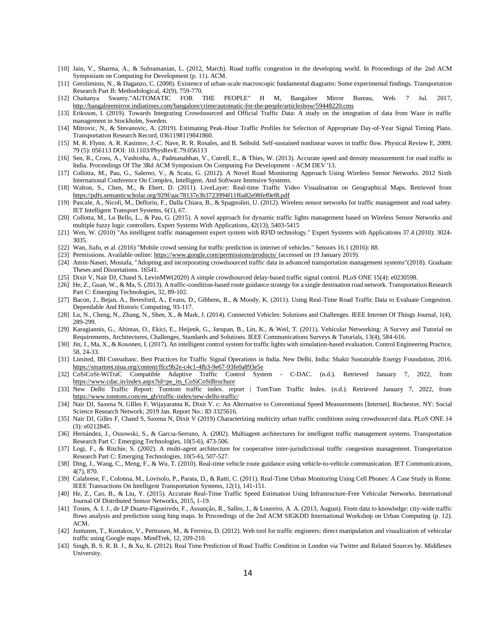- [10] Jain, V., Sharma, A., & Subramanian, L. (2012, March). Road traffic congestion in the developing world. In Proceedings of the 2nd ACM Symposium on Computing for Development (p. 11). ACM.
- [11] Geroliminis, N., & Daganzo, C. (2008). Existence of urban-scale macroscopic fundamental diagrams: Some experimental findings. Transportation Research Part B: Methodological, 42(9), 759-770.
- [12] Chaitanya Swamy."AUTOMATIC FOR THE PEOPLE" H M, Bangalore Mirror Bureau, Web. 7 Jul. 2017, <http://bangaloremirror.indiatimes.com/bangalore/crime/automatic-for-the-people/articleshow/59448220.cms>
- [13] Eriksson, I. (2019). Towards Integrating Crowdsourced and Official Traffic Data: A study on the integration of data from Waze in traffic management in Stockholm, Sweden.
- [14] Mitrovic, N., & Stevanovic, A. (2019). Estimating Peak-Hour Traffic Profiles for Selection of Appropriate Day-of-Year Signal Timing Plans. Transportation Research Record, 0361198119841860.
- [15] M. R. Flynn, A. R. Kasimov, J.-C. Nave, R. R. Rosales, and B. Seibold. Self-sustained nonlinear waves in traffic flow. Physical Review E, 2009; 79 (5): 056113 DOI: 10.1103/PhysRevE.79.056113
- [16] Sen, R., Cross, A., Vashistha, A., Padmanabhan, V., Cutrell, E., & Thies, W. (2013). Accurate speed and density measurement for road traffic in India. Proceedings Of The 3Rd ACM Symposium On Computing For Development - ACM DEV '13.
- [17] Collotta, M., Pau, G., Salerno, V., & Scata, G. (2012). A Novel Road Monitoring Approach Using Wireless Sensor Networks. 2012 Sixth International Conference On Complex, Intelligent, And Software Intensive Systems.
- [18] Walton, S., Chen, M., & Ebert, D. (2011). LiveLayer: Real-time Traffic Video Visualisation on Geographical Maps. Retrieved from <https://pdfs.semanticscholar.org/929f/aac78137e3b3723994f11f6a82e98fef0ef8.pdf>
- [19] Pascale, A., Nicoli, M., Deflorio, F., Dalla Chiara, B., & Spagnolini, U. (2012). Wireless sensor networks for traffic management and road safety. IET Intelligent Transport Systems, 6(1), 67.
- [20] Collotta, M., Lo Bello, L., & Pau, G. (2015). A novel approach for dynamic traffic lights management based on Wireless Sensor Networks and multiple fuzzy logic controllers. Expert Systems With Applications, 42(13), 5403-5415
- [21] Wen, W. (2010) "An intelligent traffic management expert system with RFID technology." Expert Systems with Applications 37.4 (2010): 3024- 3035.
- [22] Wan, Jiafu, et al. (2016) "Mobile crowd sensing for traffic prediction in internet of vehicles." Sensors 16.1 (2016): 88.
- [23] Permissions. Available online[: https://www.google.com/permissions/products/ \(](https://www.google.com/permissions/products/)accessed on 19 January 2019).
- [24] Amin-Naseri, Mostafa, "Adopting and incorporating crowdsourced traffic data in advanced transportation management systems"(2018). Graduate Theses and Dissertations. 16541.
- [25] Dixit V, Nair DJ, Chand S, LevinMW(2020) A simple crowdsourced delay-based traffic signal control. PLoS ONE 15(4): e0230598.
- [26] He, Z., Guan, W., & Ma, S. (2013). A traffic-condition-based route guidance strategy for a single destination road network. Transportation Research Part C: Emerging Technologies, 32, 89-102.
- [27] Bacon, J., Bejan, A., Beresford, A., Evans, D., Gibbens, R., & Moody, K. (2011). Using Real-Time Road Traffic Data to Evaluate Congestion. Dependable And Historic Computing, 93-117.
- [28] Lu, N., Cheng, N., Zhang, N., Shen, X., & Mark, J. (2014). Connected Vehicles: Solutions and Challenges. IEEE Internet Of Things Journal, 1(4), 289-299.
- [29] Karagiannis, G., Altintas, O., Ekici, E., Heijenk, G., Jarupan, B., Lin, K., & Weil, T. (2011). Vehicular Networking: A Survey and Tutorial on Requirements, Architectures, Challenges, Standards and Solutions. IEEE Communications Surveys & Tutorials, 13(4), 584-616.
- [30] Jin, J., Ma, X., & Kosonen, I. (2017). An intelligent control system for traffic lights with simulation-based evaluation. Control Engineering Practice, 58, 24-33.
- [31] Limited, IBI Consultanc. Best Practices for Traffic Signal Operations in India. New Delhi, India: Shakti Sustainable Energy Foundation, 2016. <https://smartnet.niua.org/content/ffcc9b2e-c4c1-4fb3-9e67-93fe0a893e5e>
- [32] CoSiCoSt-WiTraC Compatible Adaptive Traffic Control System C-DAC. (n.d.). Retrieved January 7, 2022, from [https://www.cdac.in/index.aspx?id=pe\\_its\\_CoSiCoStBrochure](https://www.cdac.in/index.aspx?id=pe_its_CoSiCoStBrochure)
- [33] New Delhi Traffic Report: Tomtom traffic index. report | TomTom Traffic Index. (n.d.). Retrieved January 7, 2022, from [https://www.tomtom.com/en\\_gb/traffic-index/new-delhi-traffic/](https://www.tomtom.com/en_gb/traffic-index/new-delhi-traffic/)
- [34] Nair DJ, Saxena N, GIlles F, Wijayaratna K, Dixit V. c: An Alternative to Conventional Speed Measurements [Internet]. Rochester, NY: Social Science Research Network; 2019 Jan. Report No.: ID 3325616.
- [35] Nair DJ, Gilles F, Chand S, Saxena N, Dixit V (2019) Characterizing multicity urban traffic conditions using crowdsourced data. PLoS ONE 14 (3): e0212845.
- [36] Hernández, J., Ossowski, S., & Garcıa-Serrano, A. (2002). Multiagent architectures for intelligent traffic management systems. Transportation Research Part C: Emerging Technologies, 10(5-6), 473-506.
- [37] Logi, F., & Ritchie, S. (2002). A multi-agent architecture for cooperative inter-jurisdictional traffic congestion management. Transportation Research Part C: Emerging Technologies, 10(5-6), 507-527.
- [38] Ding, J., Wang, C., Meng, F., & Wu, T. (2010). Real-time vehicle route guidance using vehicle-to-vehicle communication. IET Communications, 4(7), 870.
- [39] Calabrese, F., Colonna, M., Lovisolo, P., Parata, D., & Ratti, C. (2011). Real-Time Urban Monitoring Using Cell Phones: A Case Study in Rome. IEEE Transactions On Intelligent Transportation Systems, 12(1), 141-151.
- [40] He, Z., Cao, B., & Liu, Y. (2015). Accurate Real-Time Traffic Speed Estimation Using Infrastructure-Free Vehicular Networks. International Journal Of Distributed Sensor Networks, 2015, 1-19.
- [41] Tostes, A. I. J., de LP Duarte-Figueiredo, F., Assunção, R., Salles, J., & Loureiro, A. A. (2013, August). From data to knowledge: city-wide traffic flows analysis and prediction using bing maps. In Proceedings of the 2nd ACM SIGKDD International Workshop on Urban Computing (p. 12). ACM.
- [42] Juntunen, T., Kostakos, V., Perttunen, M., & Ferreira, D. (2012). Web tool for traffic engineers: direct manipulation and visualization of vehicular traffic using Google maps. MindTrek, 12, 209-210.
- [43] Singh, B. S. R. B. J., & Xu, K. (2012). Real Time Prediction of Road Traffic Condition in London via Twitter and Related Sources by. Middlesex University.